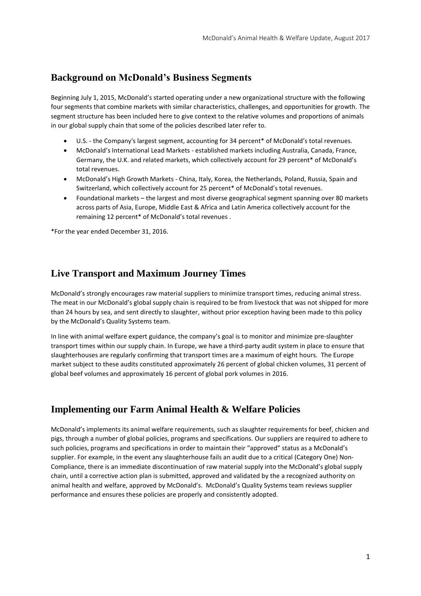### **Background on McDonald's Business Segments**

Beginning July 1, 2015, McDonald's started operating under a new organizational structure with the following four segments that combine markets with similar characteristics, challenges, and opportunities for growth. The segment structure has been included here to give context to the relative volumes and proportions of animals in our global supply chain that some of the policies described later refer to.

- U.S. the Company's largest segment, accounting for 34 percent<sup>\*</sup> of McDonald's total revenues.
- McDonald's International Lead Markets established markets including Australia, Canada, France, Germany, the U.K. and related markets, which collectively account for 29 percent\* of McDonald's total revenues.
- McDonald's High Growth Markets China, Italy, Korea, the Netherlands, Poland, Russia, Spain and Switzerland, which collectively account for 25 percent\* of McDonald's total revenues.
- Foundational markets the largest and most diverse geographical segment spanning over 80 markets across parts of Asia, Europe, Middle East & Africa and Latin America collectively account for the remaining 12 percent\* of McDonald's total revenues .

\*For the year ended December 31, 2016.

# **Live Transport and Maximum Journey Times**

McDonald's strongly encourages raw material suppliers to minimize transport times, reducing animal stress. The meat in our McDonald's global supply chain is required to be from livestock that was not shipped for more than 24 hours by sea, and sent directly to slaughter, without prior exception having been made to this policy by the McDonald's Quality Systems team.

In line with animal welfare expert guidance, the company's goal is to monitor and minimize pre-slaughter transport times within our supply chain. In Europe, we have a third-party audit system in place to ensure that slaughterhouses are regularly confirming that transport times are a maximum of eight hours. The Europe market subject to these audits constituted approximately 26 percent of global chicken volumes, 31 percent of global beef volumes and approximately 16 percent of global pork volumes in 2016.

# **Implementing our Farm Animal Health & Welfare Policies**

McDonald's implements its animal welfare requirements, such as slaughter requirements for beef, chicken and pigs, through a number of global policies, programs and specifications. Our suppliers are required to adhere to such policies, programs and specifications in order to maintain their "approved" status as a McDonald's supplier. For example, in the event any slaughterhouse fails an audit due to a critical (Category One) Non-Compliance, there is an immediate discontinuation of raw material supply into the McDonald's global supply chain, until a corrective action plan is submitted, approved and validated by the a recognized authority on animal health and welfare, approved by McDonald's. McDonald's Quality Systems team reviews supplier performance and ensures these policies are properly and consistently adopted.